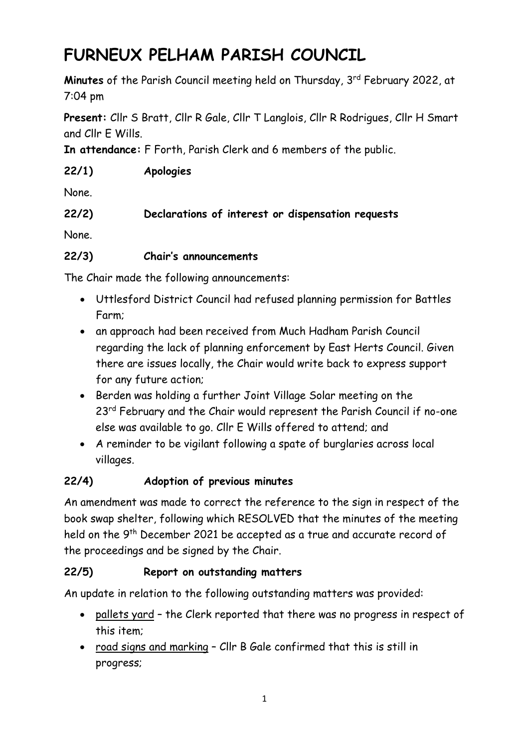# **FURNEUX PELHAM PARISH COUNCIL**

**Minutes** of the Parish Council meeting held on Thursday, 3<sup>rd</sup> February 2022, at 7:04 pm

**Present:** Cllr S Bratt, Cllr R Gale, Cllr T Langlois, Cllr R Rodrigues, Cllr H Smart and Cllr E Wills.

**In attendance:** F Forth, Parish Clerk and 6 members of the public.

### **22/1) Apologies**

None.

### **22/2) Declarations of interest or dispensation requests**

None.

#### **22/3) Chair's announcements**

The Chair made the following announcements:

- Uttlesford District Council had refused planning permission for Battles Farm;
- an approach had been received from Much Hadham Parish Council regarding the lack of planning enforcement by East Herts Council. Given there are issues locally, the Chair would write back to express support for any future action;
- Berden was holding a further Joint Village Solar meeting on the 23<sup>rd</sup> February and the Chair would represent the Parish Council if no-one else was available to go. Cllr E Wills offered to attend; and
- A reminder to be vigilant following a spate of burglaries across local villages.

### **22/4) Adoption of previous minutes**

An amendment was made to correct the reference to the sign in respect of the book swap shelter, following which RESOLVED that the minutes of the meeting held on the 9<sup>th</sup> December 2021 be accepted as a true and accurate record of the proceedings and be signed by the Chair.

### **22/5) Report on outstanding matters**

An update in relation to the following outstanding matters was provided:

- pallets yard the Clerk reported that there was no progress in respect of this item;
- road signs and marking Cllr B Gale confirmed that this is still in progress;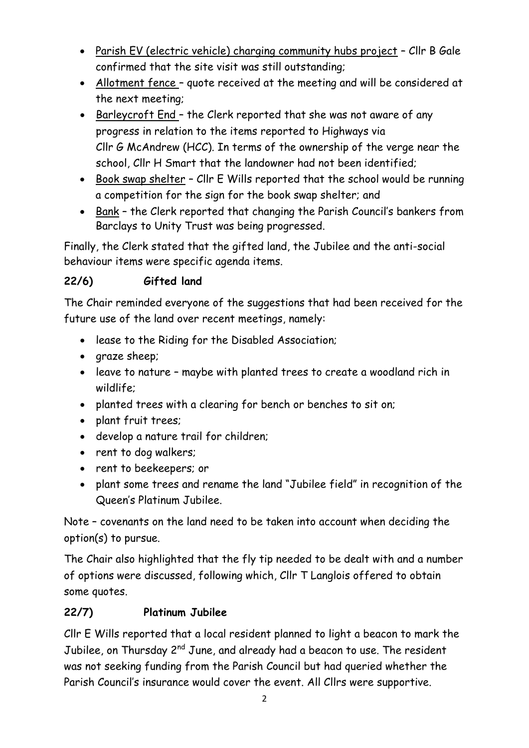- Parish EV (electric vehicle) charging community hubs project Cllr B Gale confirmed that the site visit was still outstanding;
- Allotment fence quote received at the meeting and will be considered at the next meeting;
- Barleycroft End the Clerk reported that she was not aware of any progress in relation to the items reported to Highways via Cllr G McAndrew (HCC). In terms of the ownership of the verge near the school, Cllr H Smart that the landowner had not been identified;
- Book swap shelter Cllr E Wills reported that the school would be running a competition for the sign for the book swap shelter; and
- Bank the Clerk reported that changing the Parish Council's bankers from Barclays to Unity Trust was being progressed.

Finally, the Clerk stated that the gifted land, the Jubilee and the anti-social behaviour items were specific agenda items.

### **22/6) Gifted land**

The Chair reminded everyone of the suggestions that had been received for the future use of the land over recent meetings, namely:

- lease to the Riding for the Disabled Association;
- araze sheep:
- leave to nature maybe with planted trees to create a woodland rich in wildlife;
- planted trees with a clearing for bench or benches to sit on;
- plant fruit trees;
- develop a nature trail for children;
- rent to dog walkers;
- rent to beekeepers; or
- plant some trees and rename the land "Jubilee field" in recognition of the Queen's Platinum Jubilee.

Note – covenants on the land need to be taken into account when deciding the option(s) to pursue.

The Chair also highlighted that the fly tip needed to be dealt with and a number of options were discussed, following which, Cllr T Langlois offered to obtain some quotes.

### **22/7) Platinum Jubilee**

Cllr E Wills reported that a local resident planned to light a beacon to mark the Jubilee, on Thursday 2<sup>nd</sup> June, and already had a beacon to use. The resident was not seeking funding from the Parish Council but had queried whether the Parish Council's insurance would cover the event. All Cllrs were supportive.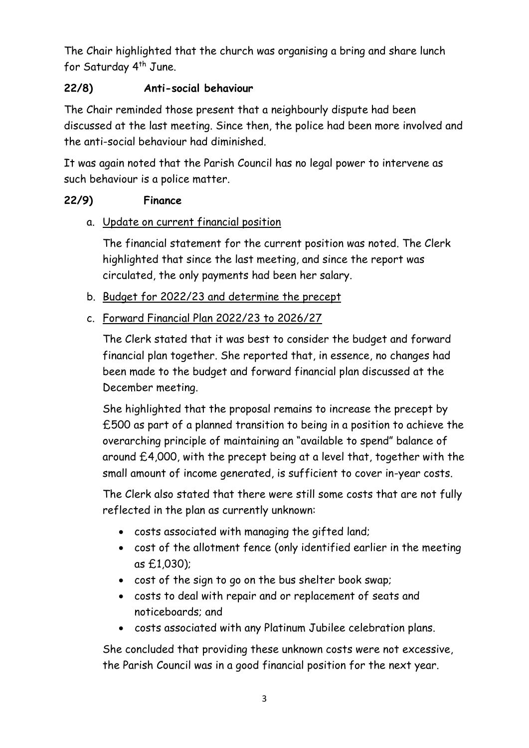The Chair highlighted that the church was organising a bring and share lunch for Saturday 4<sup>th</sup> June.

#### **22/8) Anti-social behaviour**

The Chair reminded those present that a neighbourly dispute had been discussed at the last meeting. Since then, the police had been more involved and the anti-social behaviour had diminished.

It was again noted that the Parish Council has no legal power to intervene as such behaviour is a police matter.

#### **22/9) Finance**

#### a. Update on current financial position

The financial statement for the current position was noted. The Clerk highlighted that since the last meeting, and since the report was circulated, the only payments had been her salary.

- b. Budget for 2022/23 and determine the precept
- c. Forward Financial Plan 2022/23 to 2026/27

The Clerk stated that it was best to consider the budget and forward financial plan together. She reported that, in essence, no changes had been made to the budget and forward financial plan discussed at the December meeting.

She highlighted that the proposal remains to increase the precept by £500 as part of a planned transition to being in a position to achieve the overarching principle of maintaining an "available to spend" balance of around £4,000, with the precept being at a level that, together with the small amount of income generated, is sufficient to cover in-year costs.

The Clerk also stated that there were still some costs that are not fully reflected in the plan as currently unknown:

- costs associated with managing the gifted land;
- cost of the allotment fence (only identified earlier in the meeting as £1,030);
- cost of the sign to go on the bus shelter book swap;
- costs to deal with repair and or replacement of seats and noticeboards; and
- costs associated with any Platinum Jubilee celebration plans.

She concluded that providing these unknown costs were not excessive, the Parish Council was in a good financial position for the next year.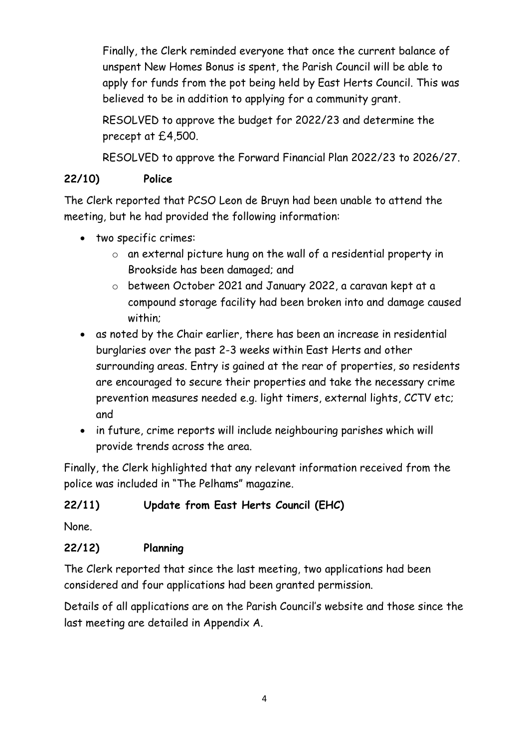Finally, the Clerk reminded everyone that once the current balance of unspent New Homes Bonus is spent, the Parish Council will be able to apply for funds from the pot being held by East Herts Council. This was believed to be in addition to applying for a community grant.

RESOLVED to approve the budget for 2022/23 and determine the precept at £4,500.

RESOLVED to approve the Forward Financial Plan 2022/23 to 2026/27.

#### **22/10) Police**

The Clerk reported that PCSO Leon de Bruyn had been unable to attend the meeting, but he had provided the following information:

- two specific crimes:
	- o an external picture hung on the wall of a residential property in Brookside has been damaged; and
	- o between October 2021 and January 2022, a caravan kept at a compound storage facility had been broken into and damage caused within;
- as noted by the Chair earlier, there has been an increase in residential burglaries over the past 2-3 weeks within East Herts and other surrounding areas. Entry is gained at the rear of properties, so residents are encouraged to secure their properties and take the necessary crime prevention measures needed e.g. light timers, external lights, CCTV etc; and
- in future, crime reports will include neighbouring parishes which will provide trends across the area.

Finally, the Clerk highlighted that any relevant information received from the police was included in "The Pelhams" magazine.

### **22/11) Update from East Herts Council (EHC)**

None.

### **22/12) Planning**

The Clerk reported that since the last meeting, two applications had been considered and four applications had been granted permission.

Details of all applications are on the Parish Council's website and those since the last meeting are detailed in Appendix A.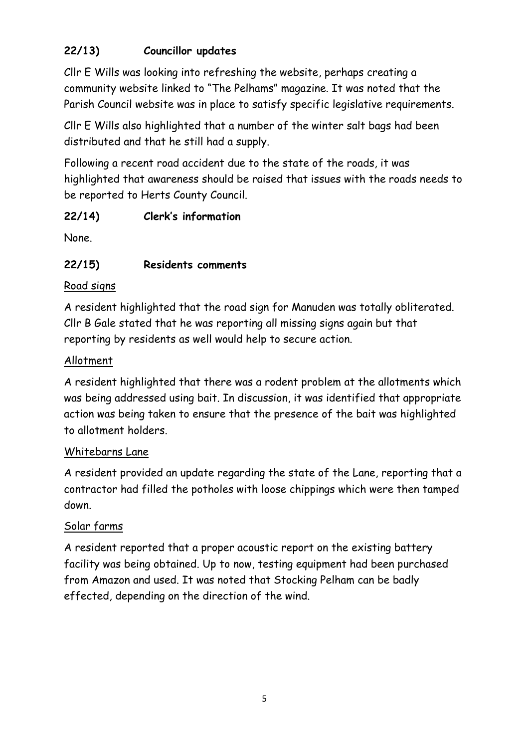## **22/13) Councillor updates**

Cllr E Wills was looking into refreshing the website, perhaps creating a community website linked to "The Pelhams" magazine. It was noted that the Parish Council website was in place to satisfy specific legislative requirements.

Cllr E Wills also highlighted that a number of the winter salt bags had been distributed and that he still had a supply.

Following a recent road accident due to the state of the roads, it was highlighted that awareness should be raised that issues with the roads needs to be reported to Herts County Council.

### **22/14) Clerk's information**

None.

## **22/15) Residents comments**

### Road signs

A resident highlighted that the road sign for Manuden was totally obliterated. Cllr B Gale stated that he was reporting all missing signs again but that reporting by residents as well would help to secure action.

#### Allotment

A resident highlighted that there was a rodent problem at the allotments which was being addressed using bait. In discussion, it was identified that appropriate action was being taken to ensure that the presence of the bait was highlighted to allotment holders.

### Whitebarns Lane

A resident provided an update regarding the state of the Lane, reporting that a contractor had filled the potholes with loose chippings which were then tamped down.

### Solar farms

A resident reported that a proper acoustic report on the existing battery facility was being obtained. Up to now, testing equipment had been purchased from Amazon and used. It was noted that Stocking Pelham can be badly effected, depending on the direction of the wind.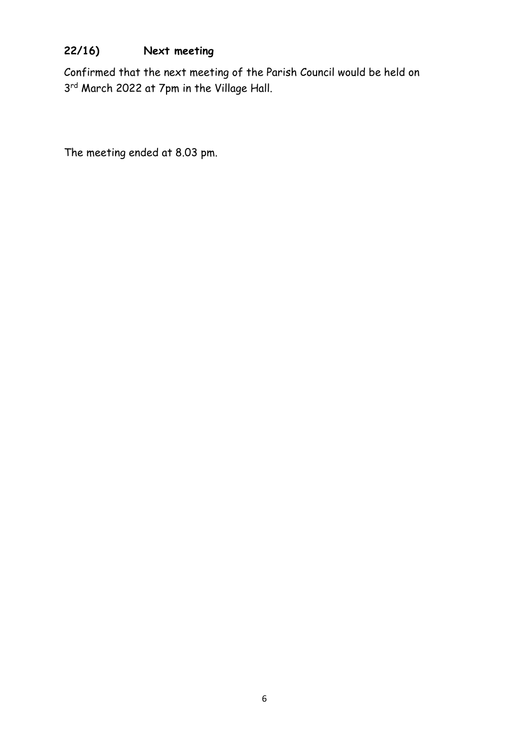## **22/16) Next meeting**

Confirmed that the next meeting of the Parish Council would be held on 3<sup>rd</sup> March 2022 at 7pm in the Village Hall.

The meeting ended at 8.03 pm.